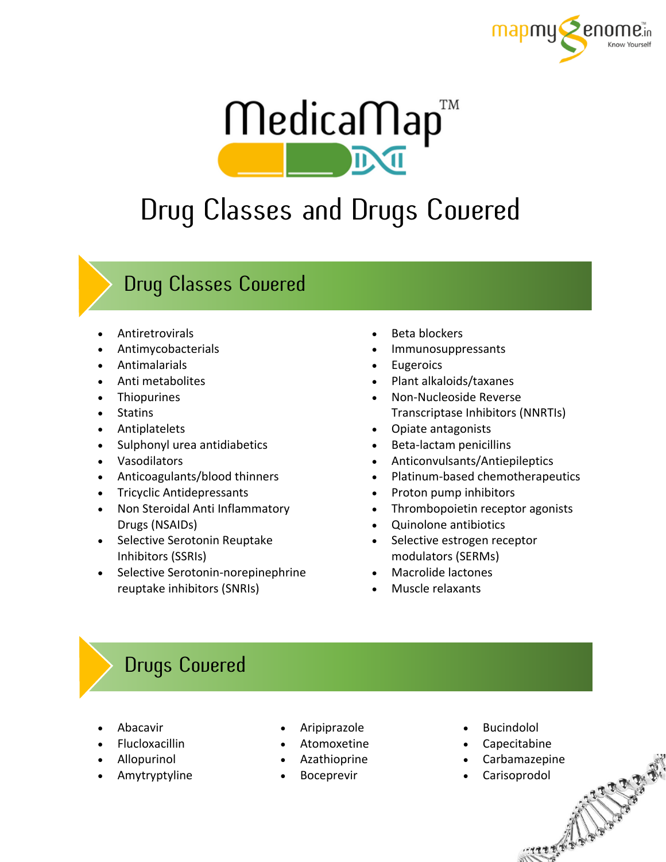



## Drug Classes and Drugs Covered

## Drug Classes Covered

- Antiretrovirals
- Antimycobacterials
- Antimalarials
- Anti metabolites
- Thiopurines
- Statins
- Antiplatelets
- Sulphonyl urea antidiabetics
- Vasodilators
- Anticoagulants/blood thinners
- Tricyclic Antidepressants
- Non Steroidal Anti Inflammatory Drugs (NSAIDs)
- Selective Serotonin Reuptake Inhibitors (SSRIs)
- Selective Serotonin-norepinephrine reuptake inhibitors (SNRIs)
- Beta blockers
- Immunosuppressants
- Eugeroics
- Plant alkaloids/taxanes
- Non-Nucleoside Reverse Transcriptase Inhibitors (NNRTIs)
- Opiate antagonists
- Beta-lactam penicillins
- Anticonvulsants/Antiepileptics
- Platinum-based chemotherapeutics
- Proton pump inhibitors
- Thrombopoietin receptor agonists
- Quinolone antibiotics
- Selective estrogen receptor modulators (SERMs)
- Macrolide lactones
- Muscle relaxants

## Drugs Covered

- Abacavir
- Flucloxacillin
- Allopurinol
- Amytryptyline
- Aripiprazole
- Atomoxetine
- Azathioprine
- Boceprevir
- **Bucindolol**
- Capecitabine
- Carbamazepine

**ANTIFERED** 

Carisoprodol